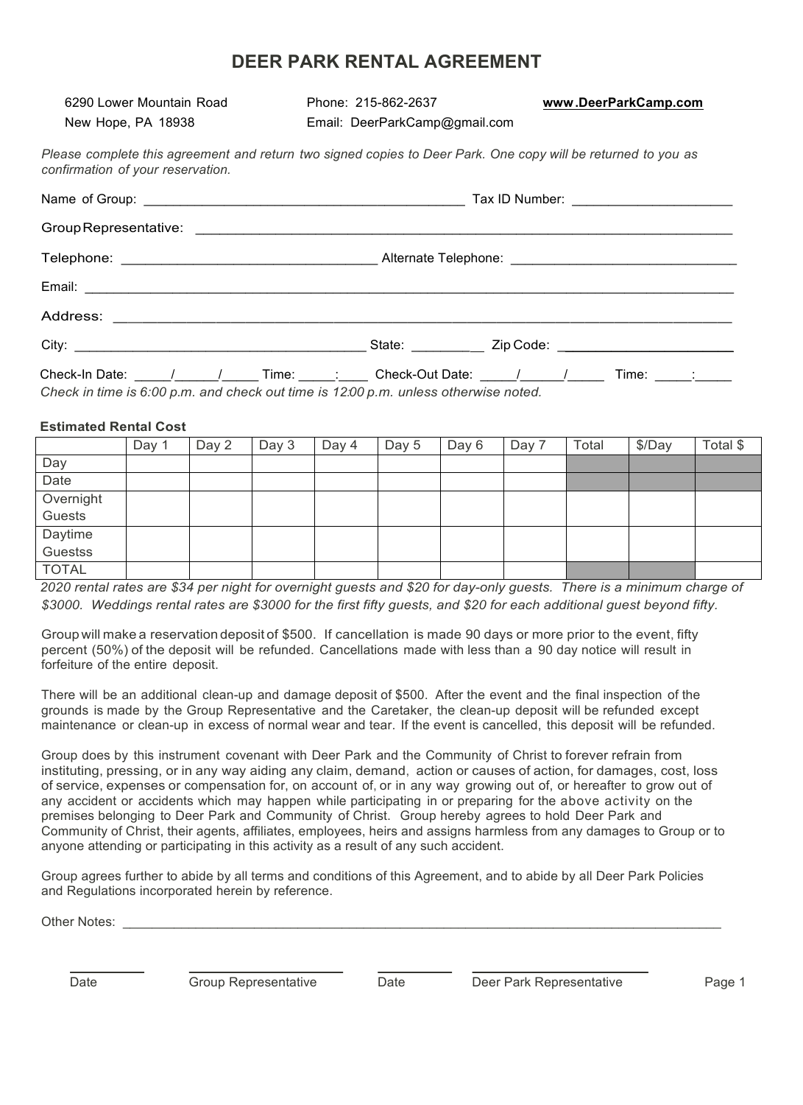## **DEER PARK RENTAL AGREEMENT**

6290 Lower Mountain Road Phone: 215-862-2637 **www.DeerParkCamp.com** New Hope, PA 18938 **Email: DeerParkCamp@gmail.com** 

*Please complete this agreement and return two signed copies to Deer Park. One copy will be returned to you as confirmation of your reservation.*

| Check-In Date: _____/_________/_ | Time: : |  |  |  |  |  |  |
|----------------------------------|---------|--|--|--|--|--|--|

*Check in time is 6:00 p.m. and check out time is 12:00 p.m. unless otherwise noted.*

## **Estimated Rental Cost**

|              | Day | Day 2 | Day 3 | Day 4 | Day 5 | Day 6 | Day 7 | Total | \$/Day | Total \$ |
|--------------|-----|-------|-------|-------|-------|-------|-------|-------|--------|----------|
| Day          |     |       |       |       |       |       |       |       |        |          |
| Date         |     |       |       |       |       |       |       |       |        |          |
| Overnight    |     |       |       |       |       |       |       |       |        |          |
| Guests       |     |       |       |       |       |       |       |       |        |          |
| Daytime      |     |       |       |       |       |       |       |       |        |          |
| Guestss      |     |       |       |       |       |       |       |       |        |          |
| <b>TOTAL</b> |     |       |       |       |       |       |       |       |        |          |

*2020 rental rates are \$34 per night for overnight guests and \$20 for day-only guests. There is a minimum charge of \$3000. Weddings rental rates are \$3000 for the first fifty guests, and \$20 for each additional guest beyond fifty.*

Group will make a reservation deposit of \$500. If cancellation is made 90 days or more prior to the event, fifty percent (50%) of the deposit will be refunded. Cancellations made with less than a 90 day notice will result in forfeiture of the entire deposit.

There will be an additional clean-up and damage deposit of \$500. After the event and the final inspection of the grounds is made by the Group Representative and the Caretaker, the clean-up deposit will be refunded except maintenance or clean-up in excess of normal wear and tear. If the event is cancelled, this deposit will be refunded.

Group does by this instrument covenant with Deer Park and the Community of Christ to forever refrain from instituting, pressing, or in any way aiding any claim, demand, action or causes of action, for damages, cost, loss of service, expenses or compensation for, on account of, or in any way growing out of, or hereafter to grow out of any accident or accidents which may happen while participating in or preparing for the above activity on the premises belonging to Deer Park and Community of Christ. Group hereby agrees to hold Deer Park and Community of Christ, their agents, affiliates, employees, heirs and assigns harmless from any damages to Group or to anyone attending or participating in this activity as a result of any such accident.

Group agrees further to abide by all terms and conditions of this Agreement, and to abide by all Deer Park Policies and Regulations incorporated herein by reference.

Other Notes:

Date Group Representative Date Deer Park Representative Page 1